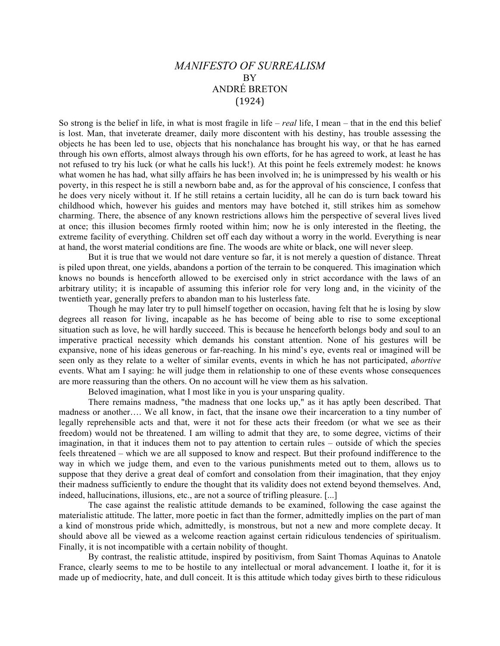## *MANIFESTO OF SURREALISM* BY ANDRÉ BRETON (1924)

So strong is the belief in life, in what is most fragile in life – *real* life, I mean – that in the end this belief is lost. Man, that inveterate dreamer, daily more discontent with his destiny, has trouble assessing the objects he has been led to use, objects that his nonchalance has brought his way, or that he has earned through his own efforts, almost always through his own efforts, for he has agreed to work, at least he has not refused to try his luck (or what he calls his luck!). At this point he feels extremely modest: he knows what women he has had, what silly affairs he has been involved in; he is unimpressed by his wealth or his poverty, in this respect he is still a newborn babe and, as for the approval of his conscience, I confess that he does very nicely without it. If he still retains a certain lucidity, all he can do is turn back toward his childhood which, however his guides and mentors may have botched it, still strikes him as somehow charming. There, the absence of any known restrictions allows him the perspective of several lives lived at once; this illusion becomes firmly rooted within him; now he is only interested in the fleeting, the extreme facility of everything. Children set off each day without a worry in the world. Everything is near at hand, the worst material conditions are fine. The woods are white or black, one will never sleep.

But it is true that we would not dare venture so far, it is not merely a question of distance. Threat is piled upon threat, one yields, abandons a portion of the terrain to be conquered. This imagination which knows no bounds is henceforth allowed to be exercised only in strict accordance with the laws of an arbitrary utility; it is incapable of assuming this inferior role for very long and, in the vicinity of the twentieth year, generally prefers to abandon man to his lusterless fate.

Though he may later try to pull himself together on occasion, having felt that he is losing by slow degrees all reason for living, incapable as he has become of being able to rise to some exceptional situation such as love, he will hardly succeed. This is because he henceforth belongs body and soul to an imperative practical necessity which demands his constant attention. None of his gestures will be expansive, none of his ideas generous or far-reaching. In his mind's eye, events real or imagined will be seen only as they relate to a welter of similar events, events in which he has not participated, *abortive*  events. What am I saying: he will judge them in relationship to one of these events whose consequences are more reassuring than the others. On no account will he view them as his salvation.

Beloved imagination, what I most like in you is your unsparing quality.

There remains madness, "the madness that one locks up," as it has aptly been described. That madness or another…. We all know, in fact, that the insane owe their incarceration to a tiny number of legally reprehensible acts and that, were it not for these acts their freedom (or what we see as their freedom) would not be threatened. I am willing to admit that they are, to some degree, victims of their imagination, in that it induces them not to pay attention to certain rules – outside of which the species feels threatened – which we are all supposed to know and respect. But their profound indifference to the way in which we judge them, and even to the various punishments meted out to them, allows us to suppose that they derive a great deal of comfort and consolation from their imagination, that they enjoy their madness sufficiently to endure the thought that its validity does not extend beyond themselves. And, indeed, hallucinations, illusions, etc., are not a source of trifling pleasure. [...]

The case against the realistic attitude demands to be examined, following the case against the materialistic attitude. The latter, more poetic in fact than the former, admittedly implies on the part of man a kind of monstrous pride which, admittedly, is monstrous, but not a new and more complete decay. It should above all be viewed as a welcome reaction against certain ridiculous tendencies of spiritualism. Finally, it is not incompatible with a certain nobility of thought.

By contrast, the realistic attitude, inspired by positivism, from Saint Thomas Aquinas to Anatole France, clearly seems to me to be hostile to any intellectual or moral advancement. I loathe it, for it is made up of mediocrity, hate, and dull conceit. It is this attitude which today gives birth to these ridiculous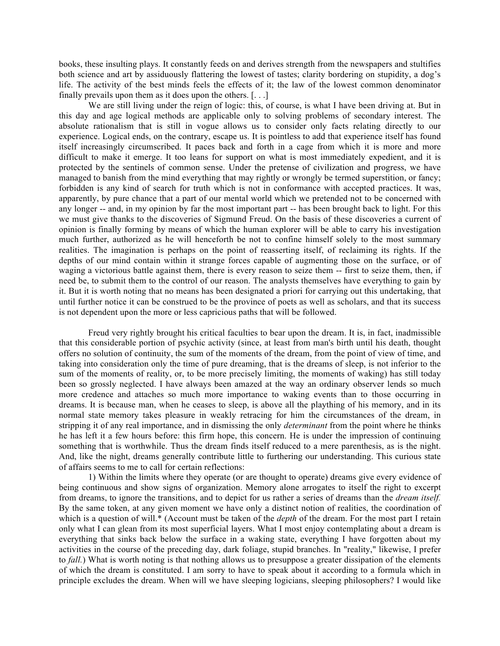books, these insulting plays. It constantly feeds on and derives strength from the newspapers and stultifies both science and art by assiduously flattering the lowest of tastes; clarity bordering on stupidity, a dog's life. The activity of the best minds feels the effects of it; the law of the lowest common denominator finally prevails upon them as it does upon the others.  $[\ldots]$ 

We are still living under the reign of logic: this, of course, is what I have been driving at. But in this day and age logical methods are applicable only to solving problems of secondary interest. The absolute rationalism that is still in vogue allows us to consider only facts relating directly to our experience. Logical ends, on the contrary, escape us. It is pointless to add that experience itself has found itself increasingly circumscribed. It paces back and forth in a cage from which it is more and more difficult to make it emerge. It too leans for support on what is most immediately expedient, and it is protected by the sentinels of common sense. Under the pretense of civilization and progress, we have managed to banish from the mind everything that may rightly or wrongly be termed superstition, or fancy; forbidden is any kind of search for truth which is not in conformance with accepted practices. It was, apparently, by pure chance that a part of our mental world which we pretended not to be concerned with any longer -- and, in my opinion by far the most important part -- has been brought back to light. For this we must give thanks to the discoveries of Sigmund Freud. On the basis of these discoveries a current of opinion is finally forming by means of which the human explorer will be able to carry his investigation much further, authorized as he will henceforth be not to confine himself solely to the most summary realities. The imagination is perhaps on the point of reasserting itself, of reclaiming its rights. If the depths of our mind contain within it strange forces capable of augmenting those on the surface, or of waging a victorious battle against them, there is every reason to seize them -- first to seize them, then, if need be, to submit them to the control of our reason. The analysts themselves have everything to gain by it. But it is worth noting that no means has been designated a priori for carrying out this undertaking, that until further notice it can be construed to be the province of poets as well as scholars, and that its success is not dependent upon the more or less capricious paths that will be followed.

Freud very rightly brought his critical faculties to bear upon the dream. It is, in fact, inadmissible that this considerable portion of psychic activity (since, at least from man's birth until his death, thought offers no solution of continuity, the sum of the moments of the dream, from the point of view of time, and taking into consideration only the time of pure dreaming, that is the dreams of sleep, is not inferior to the sum of the moments of reality, or, to be more precisely limiting, the moments of waking) has still today been so grossly neglected. I have always been amazed at the way an ordinary observer lends so much more credence and attaches so much more importance to waking events than to those occurring in dreams. It is because man, when he ceases to sleep, is above all the plaything of his memory, and in its normal state memory takes pleasure in weakly retracing for him the circumstances of the dream, in stripping it of any real importance, and in dismissing the only *determinant* from the point where he thinks he has left it a few hours before: this firm hope, this concern. He is under the impression of continuing something that is worthwhile. Thus the dream finds itself reduced to a mere parenthesis, as is the night. And, like the night, dreams generally contribute little to furthering our understanding. This curious state of affairs seems to me to call for certain reflections:

1) Within the limits where they operate (or are thought to operate) dreams give every evidence of being continuous and show signs of organization. Memory alone arrogates to itself the right to excerpt from dreams, to ignore the transitions, and to depict for us rather a series of dreams than the *dream itself.* By the same token, at any given moment we have only a distinct notion of realities, the coordination of which is a question of will.<sup>\*</sup> (Account must be taken of the *depth* of the dream. For the most part I retain only what I can glean from its most superficial layers. What I most enjoy contemplating about a dream is everything that sinks back below the surface in a waking state, everything I have forgotten about my activities in the course of the preceding day, dark foliage, stupid branches. In "reality," likewise, I prefer to *fall.*) What is worth noting is that nothing allows us to presuppose a greater dissipation of the elements of which the dream is constituted. I am sorry to have to speak about it according to a formula which in principle excludes the dream. When will we have sleeping logicians, sleeping philosophers? I would like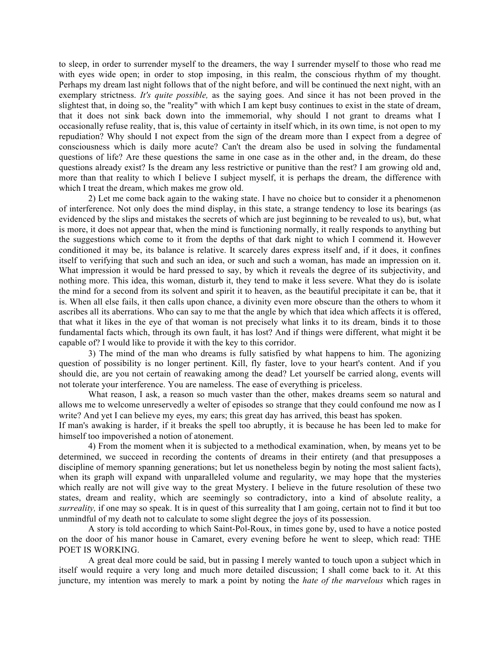to sleep, in order to surrender myself to the dreamers, the way I surrender myself to those who read me with eyes wide open; in order to stop imposing, in this realm, the conscious rhythm of my thought. Perhaps my dream last night follows that of the night before, and will be continued the next night, with an exemplary strictness. *It's quite possible,* as the saying goes. And since it has not been proved in the slightest that, in doing so, the "reality" with which I am kept busy continues to exist in the state of dream, that it does not sink back down into the immemorial, why should I not grant to dreams what I occasionally refuse reality, that is, this value of certainty in itself which, in its own time, is not open to my repudiation? Why should I not expect from the sign of the dream more than I expect from a degree of consciousness which is daily more acute? Can't the dream also be used in solving the fundamental questions of life? Are these questions the same in one case as in the other and, in the dream, do these questions already exist? Is the dream any less restrictive or punitive than the rest? I am growing old and, more than that reality to which I believe I subject myself, it is perhaps the dream, the difference with which I treat the dream, which makes me grow old.

2) Let me come back again to the waking state. I have no choice but to consider it a phenomenon of interference. Not only does the mind display, in this state, a strange tendency to lose its bearings (as evidenced by the slips and mistakes the secrets of which are just beginning to be revealed to us), but, what is more, it does not appear that, when the mind is functioning normally, it really responds to anything but the suggestions which come to it from the depths of that dark night to which I commend it. However conditioned it may be, its balance is relative. It scarcely dares express itself and, if it does, it confines itself to verifying that such and such an idea, or such and such a woman, has made an impression on it. What impression it would be hard pressed to say, by which it reveals the degree of its subjectivity, and nothing more. This idea, this woman, disturb it, they tend to make it less severe. What they do is isolate the mind for a second from its solvent and spirit it to heaven, as the beautiful precipitate it can be, that it is. When all else fails, it then calls upon chance, a divinity even more obscure than the others to whom it ascribes all its aberrations. Who can say to me that the angle by which that idea which affects it is offered, that what it likes in the eye of that woman is not precisely what links it to its dream, binds it to those fundamental facts which, through its own fault, it has lost? And if things were different, what might it be capable of? I would like to provide it with the key to this corridor.

3) The mind of the man who dreams is fully satisfied by what happens to him. The agonizing question of possibility is no longer pertinent. Kill, fly faster, love to your heart's content. And if you should die, are you not certain of reawaking among the dead? Let yourself be carried along, events will not tolerate your interference. You are nameless. The ease of everything is priceless.

What reason, I ask, a reason so much vaster than the other, makes dreams seem so natural and allows me to welcome unreservedly a welter of episodes so strange that they could confound me now as I write? And yet I can believe my eyes, my ears; this great day has arrived, this beast has spoken.

If man's awaking is harder, if it breaks the spell too abruptly, it is because he has been led to make for himself too impoverished a notion of atonement.

4) From the moment when it is subjected to a methodical examination, when, by means yet to be determined, we succeed in recording the contents of dreams in their entirety (and that presupposes a discipline of memory spanning generations; but let us nonetheless begin by noting the most salient facts), when its graph will expand with unparalleled volume and regularity, we may hope that the mysteries which really are not will give way to the great Mystery. I believe in the future resolution of these two states, dream and reality, which are seemingly so contradictory, into a kind of absolute reality, a *surreality,* if one may so speak. It is in quest of this surreality that I am going, certain not to find it but too unmindful of my death not to calculate to some slight degree the joys of its possession.

A story is told according to which Saint-Pol-Roux, in times gone by, used to have a notice posted on the door of his manor house in Camaret, every evening before he went to sleep, which read: THE POET IS WORKING.

A great deal more could be said, but in passing I merely wanted to touch upon a subject which in itself would require a very long and much more detailed discussion; I shall come back to it. At this juncture, my intention was merely to mark a point by noting the *hate of the marvelous* which rages in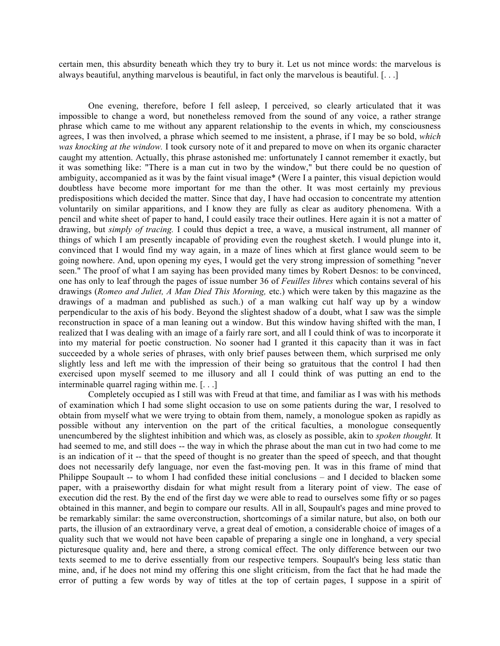certain men, this absurdity beneath which they try to bury it. Let us not mince words: the marvelous is always beautiful, anything marvelous is beautiful, in fact only the marvelous is beautiful. [. . .]

One evening, therefore, before I fell asleep, I perceived, so clearly articulated that it was impossible to change a word, but nonetheless removed from the sound of any voice, a rather strange phrase which came to me without any apparent relationship to the events in which, my consciousness agrees, I was then involved, a phrase which seemed to me insistent, a phrase, if I may be so bold, *which was knocking at the window.* I took cursory note of it and prepared to move on when its organic character caught my attention. Actually, this phrase astonished me: unfortunately I cannot remember it exactly, but it was something like: "There is a man cut in two by the window," but there could be no question of ambiguity, accompanied as it was by the faint visual image\* (Were I a painter, this visual depiction would doubtless have become more important for me than the other. It was most certainly my previous predispositions which decided the matter. Since that day, I have had occasion to concentrate my attention voluntarily on similar apparitions, and I know they are fully as clear as auditory phenomena. With a pencil and white sheet of paper to hand, I could easily trace their outlines. Here again it is not a matter of drawing, but *simply of tracing.* I could thus depict a tree, a wave, a musical instrument, all manner of things of which I am presently incapable of providing even the roughest sketch. I would plunge into it, convinced that I would find my way again, in a maze of lines which at first glance would seem to be going nowhere. And, upon opening my eyes, I would get the very strong impression of something "never seen." The proof of what I am saying has been provided many times by Robert Desnos: to be convinced, one has only to leaf through the pages of issue number 36 of *Feuilles libres* which contains several of his drawings (*Romeo and Juliet, A Man Died This Morning,* etc.) which were taken by this magazine as the drawings of a madman and published as such.) of a man walking cut half way up by a window perpendicular to the axis of his body. Beyond the slightest shadow of a doubt, what I saw was the simple reconstruction in space of a man leaning out a window. But this window having shifted with the man, I realized that I was dealing with an image of a fairly rare sort, and all I could think of was to incorporate it into my material for poetic construction. No sooner had I granted it this capacity than it was in fact succeeded by a whole series of phrases, with only brief pauses between them, which surprised me only slightly less and left me with the impression of their being so gratuitous that the control I had then exercised upon myself seemed to me illusory and all I could think of was putting an end to the interminable quarrel raging within me. [. . .]

Completely occupied as I still was with Freud at that time, and familiar as I was with his methods of examination which I had some slight occasion to use on some patients during the war, I resolved to obtain from myself what we were trying to obtain from them, namely, a monologue spoken as rapidly as possible without any intervention on the part of the critical faculties, a monologue consequently unencumbered by the slightest inhibition and which was, as closely as possible, akin to *spoken thought.* It had seemed to me, and still does -- the way in which the phrase about the man cut in two had come to me is an indication of it -- that the speed of thought is no greater than the speed of speech, and that thought does not necessarily defy language, nor even the fast-moving pen. It was in this frame of mind that Philippe Soupault -- to whom I had confided these initial conclusions – and I decided to blacken some paper, with a praiseworthy disdain for what might result from a literary point of view. The ease of execution did the rest. By the end of the first day we were able to read to ourselves some fifty or so pages obtained in this manner, and begin to compare our results. All in all, Soupault's pages and mine proved to be remarkably similar: the same overconstruction, shortcomings of a similar nature, but also, on both our parts, the illusion of an extraordinary verve, a great deal of emotion, a considerable choice of images of a quality such that we would not have been capable of preparing a single one in longhand, a very special picturesque quality and, here and there, a strong comical effect. The only difference between our two texts seemed to me to derive essentially from our respective tempers. Soupault's being less static than mine, and, if he does not mind my offering this one slight criticism, from the fact that he had made the error of putting a few words by way of titles at the top of certain pages, I suppose in a spirit of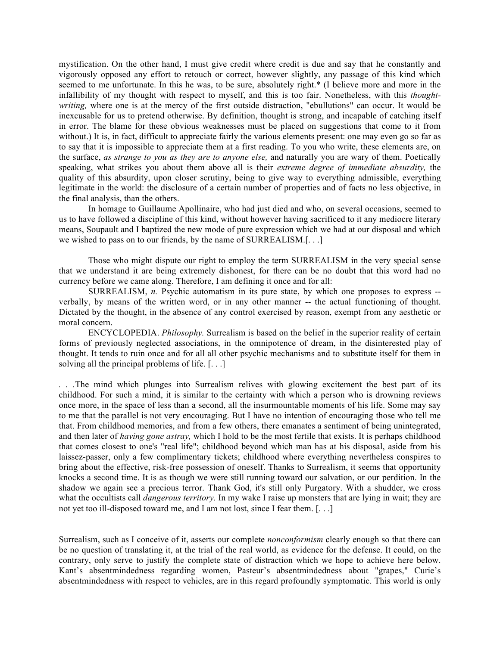mystification. On the other hand, I must give credit where credit is due and say that he constantly and vigorously opposed any effort to retouch or correct, however slightly, any passage of this kind which seemed to me unfortunate. In this he was, to be sure, absolutely right.\* (I believe more and more in the infallibility of my thought with respect to myself, and this is too fair. Nonetheless, with this *thoughtwriting,* where one is at the mercy of the first outside distraction, "ebullutions" can occur. It would be inexcusable for us to pretend otherwise. By definition, thought is strong, and incapable of catching itself in error. The blame for these obvious weaknesses must be placed on suggestions that come to it from without.) It is, in fact, difficult to appreciate fairly the various elements present: one may even go so far as to say that it is impossible to appreciate them at a first reading. To you who write, these elements are, on the surface, *as strange to you as they are to anyone else,* and naturally you are wary of them. Poetically speaking, what strikes you about them above all is their *extreme degree of immediate absurdity,* the quality of this absurdity, upon closer scrutiny, being to give way to everything admissible, everything legitimate in the world: the disclosure of a certain number of properties and of facts no less objective, in the final analysis, than the others.

In homage to Guillaume Apollinaire, who had just died and who, on several occasions, seemed to us to have followed a discipline of this kind, without however having sacrificed to it any mediocre literary means, Soupault and I baptized the new mode of pure expression which we had at our disposal and which we wished to pass on to our friends, by the name of SURREALISM.[. . .]

Those who might dispute our right to employ the term SURREALISM in the very special sense that we understand it are being extremely dishonest, for there can be no doubt that this word had no currency before we came along. Therefore, I am defining it once and for all:

SURREALISM, *n.* Psychic automatism in its pure state, by which one proposes to express - verbally, by means of the written word, or in any other manner -- the actual functioning of thought. Dictated by the thought, in the absence of any control exercised by reason, exempt from any aesthetic or moral concern.

ENCYCLOPEDIA. *Philosophy.* Surrealism is based on the belief in the superior reality of certain forms of previously neglected associations, in the omnipotence of dream, in the disinterested play of thought. It tends to ruin once and for all all other psychic mechanisms and to substitute itself for them in solving all the principal problems of life. [. . .]

*. . .*The mind which plunges into Surrealism relives with glowing excitement the best part of its childhood. For such a mind, it is similar to the certainty with which a person who is drowning reviews once more, in the space of less than a second, all the insurmountable moments of his life. Some may say to me that the parallel is not very encouraging. But I have no intention of encouraging those who tell me that. From childhood memories, and from a few others, there emanates a sentiment of being unintegrated, and then later of *having gone astray,* which I hold to be the most fertile that exists. It is perhaps childhood that comes closest to one's "real life"; childhood beyond which man has at his disposal, aside from his laissez-passer, only a few complimentary tickets; childhood where everything nevertheless conspires to bring about the effective, risk-free possession of oneself. Thanks to Surrealism, it seems that opportunity knocks a second time. It is as though we were still running toward our salvation, or our perdition. In the shadow we again see a precious terror. Thank God, it's still only Purgatory. With a shudder, we cross what the occultists call *dangerous territory.* In my wake I raise up monsters that are lying in wait; they are not yet too ill-disposed toward me, and I am not lost, since I fear them. [. . .]

Surrealism, such as I conceive of it, asserts our complete *nonconformism* clearly enough so that there can be no question of translating it, at the trial of the real world, as evidence for the defense. It could, on the contrary, only serve to justify the complete state of distraction which we hope to achieve here below. Kant's absentmindedness regarding women, Pasteur's absentmindedness about "grapes," Curie's absentmindedness with respect to vehicles, are in this regard profoundly symptomatic. This world is only